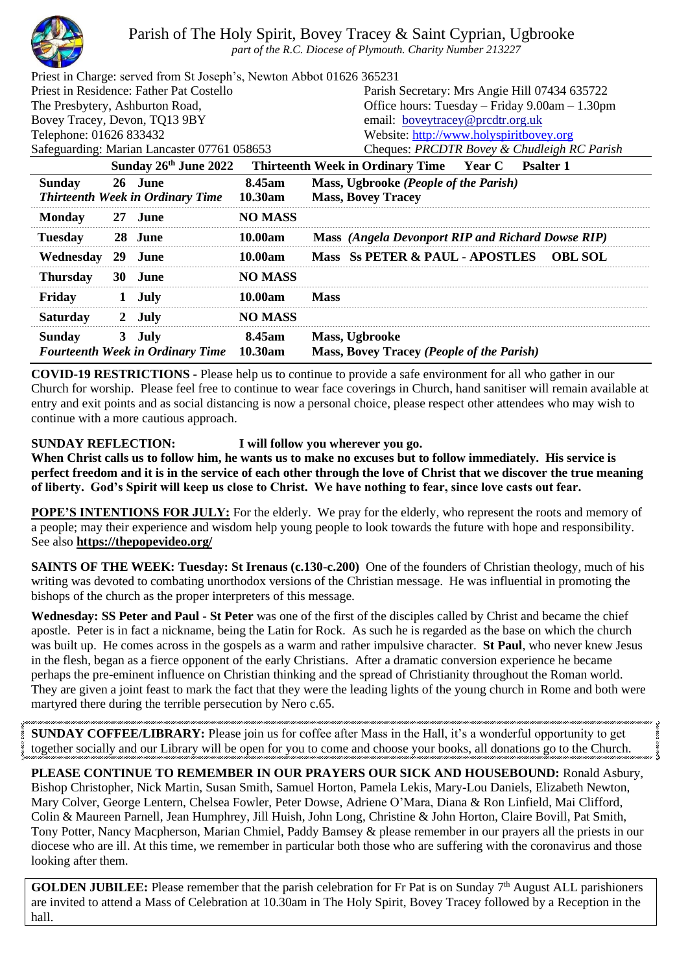

Parish of The Holy Spirit, Bovey Tracey & Saint Cyprian, Ugbrooke

*part of the R.C. Diocese of Plymouth. Charity Number 213227*

| Priest in Charge: served from St Joseph's, Newton Abbot 01626 365231 |                                         |                                                          |  |  |
|----------------------------------------------------------------------|-----------------------------------------|----------------------------------------------------------|--|--|
| Priest in Residence: Father Pat Costello                             |                                         | Parish Secretary: Mrs Angie Hill 07434 635722            |  |  |
| The Presbytery, Ashburton Road,                                      |                                         | Office hours: Tuesday – Friday 9.00am – 1.30pm           |  |  |
| Bovey Tracey, Devon, TQ13 9BY                                        |                                         | email: boveytracey@prcdtr.org.uk                         |  |  |
| Telephone: 01626 833432                                              | Website: http://www.holyspiritbovey.org |                                                          |  |  |
| Safeguarding: Marian Lancaster 07761 058653                          |                                         | Cheques: PRCDTR Bovey & Chudleigh RC Parish              |  |  |
| Sunday 26th June 2022                                                |                                         | Thirteenth Week in Ordinary Time Year C Psalter 1        |  |  |
| <b>Sunday</b><br>26 June                                             | 8.45am                                  | Mass, Ugbrooke (People of the Parish)                    |  |  |
| <b>Thirteenth Week in Ordinary Time</b>                              | 10.30am                                 | <b>Mass, Bovey Tracey</b>                                |  |  |
| <b>Monday</b><br>27 June                                             | <b>NO MASS</b>                          |                                                          |  |  |
| <b>Tuesday</b><br>28 June                                            | <b>10.00am</b>                          | <b>Mass</b> (Angela Devonport RIP and Richard Dowse RIP) |  |  |

| Wednesday 29 June |                                                           | 10.00am        |             | Mass Ss PETER & PAUL - APOSTLES OBL SOL                     |  |
|-------------------|-----------------------------------------------------------|----------------|-------------|-------------------------------------------------------------|--|
| <b>Thursday</b>   | 30 June                                                   | <b>NO MASS</b> |             |                                                             |  |
| Fridav            | 1 July                                                    | 10.00am        | <b>Mass</b> |                                                             |  |
| <b>Saturday</b>   | 2 July                                                    | <b>NO MASS</b> |             |                                                             |  |
| Sunday            | 3 July<br><b>Fourteenth Week in Ordinary Time 10.30am</b> | 8.45am         |             | Mass, Ugbrooke<br>Mass, Bovey Tracey (People of the Parish) |  |

**COVID-19 RESTRICTIONS -** Please help us to continue to provide a safe environment for all who gather in our Church for worship. Please feel free to continue to wear face coverings in Church, hand sanitiser will remain available at entry and exit points and as social distancing is now a personal choice, please respect other attendees who may wish to continue with a more cautious approach.

## **SUNDAY REFLECTION: I will follow you wherever you go.**

**When Christ calls us to follow him, he wants us to make no excuses but to follow immediately. His service is perfect freedom and it is in the service of each other through the love of Christ that we discover the true meaning of liberty. God's Spirit will keep us close to Christ. We have nothing to fear, since love casts out fear.**

**POPE'S INTENTIONS FOR JULY:** For the elderly. We pray for the elderly, who represent the roots and memory of a people; may their experience and wisdom help young people to look towards the future with hope and responsibility. See also **<https://thepopevideo.org/>**

**SAINTS OF THE WEEK: Tuesday: St Irenaus (c.130-c.200)** One of the founders of Christian theology, much of his writing was devoted to combating unorthodox versions of the Christian message. He was influential in promoting the bishops of the church as the proper interpreters of this message.

**Wednesday: SS Peter and Paul - St Peter** was one of the first of the disciples called by Christ and became the chief apostle. Peter is in fact a nickname, being the Latin for Rock. As such he is regarded as the base on which the church was built up. He comes across in the gospels as a warm and rather impulsive character. **St Paul**, who never knew Jesus in the flesh, began as a fierce opponent of the early Christians. After a dramatic conversion experience he became perhaps the pre-eminent influence on Christian thinking and the spread of Christianity throughout the Roman world. They are given a joint feast to mark the fact that they were the leading lights of the young church in Rome and both were martyred there during the terrible persecution by Nero c.65.

**SUNDAY COFFEE/LIBRARY:** Please join us for coffee after Mass in the Hall, it's a wonderful opportunity to get together socially and our Library will be open for you to come and choose your books, all donations go to the Church.

**PLEASE CONTINUE TO REMEMBER IN OUR PRAYERS OUR SICK AND HOUSEBOUND:** Ronald Asbury, Bishop Christopher, Nick Martin, Susan Smith, Samuel Horton, Pamela Lekis, Mary-Lou Daniels, Elizabeth Newton, Mary Colver, George Lentern, Chelsea Fowler, Peter Dowse, Adriene O'Mara, Diana & Ron Linfield, Mai Clifford, Colin & Maureen Parnell, Jean Humphrey, Jill Huish, John Long, Christine & John Horton, Claire Bovill, Pat Smith, Tony Potter, Nancy Macpherson, Marian Chmiel, Paddy Bamsey & please remember in our prayers all the priests in our diocese who are ill. At this time, we remember in particular both those who are suffering with the coronavirus and those looking after them.

**GOLDEN JUBILEE:** Please remember that the parish celebration for Fr Pat is on Sunday  $7<sup>th</sup>$  August ALL parishioners are invited to attend a Mass of Celebration at 10.30am in The Holy Spirit, Bovey Tracey followed by a Reception in the hall.